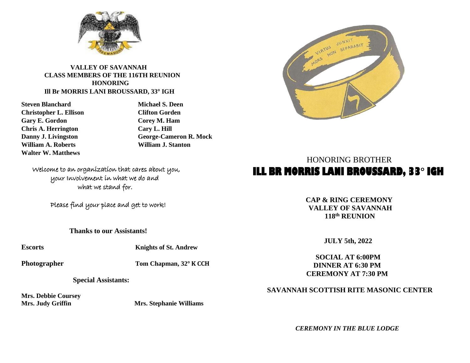

## **VALLEY OF SAVANNAH CLASS MEMBERS OF THE 116TH REUNION HONORING Ill Br MORRIS LANI BROUSSARD, 33° IGH**

**Christopher L. Ellison Clifton Gorden Gary E. Gordon Corey M. Ham Chris A. Herrington Cary L. Hill William A. Roberts William J. Stanton Walter W. Matthews**

**Steven Blanchard Michael S. Deen Danny J. Livingston George-Cameron R. Mock**

 Welcome to an organization that cares about you, your Involvement in what we do and what we stand for.

Please find your place and get to work!

**Thanks to our Assistants!**

**Escorts Knights of St. Andrew**

**Photographer Tom Chapman, 32° K CCH**

 **Special Assistants:**

**Mrs. Debbie Coursey** 

**Mrs. Judy Griffin Mrs. Stephanie Williams** 



## HONORING BROTHER **ILL BR MORRIS LANI BROUSSARD, 33° IGH**

**CAP & RING CEREMONY VALLEY OF SAVANNAH 118 th REUNION** 

 **JULY 5th, 2022**

 **SOCIAL AT 6:00PM DINNER AT 6:30 PM CEREMONY AT 7:30 PM**

 **SAVANNAH SCOTTISH RITE MASONIC CENTER**

 *CEREMONY IN THE BLUE LODGE*